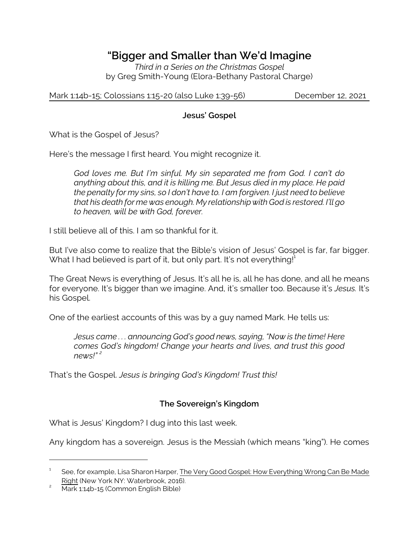# *"Bigger and Smaller than We'd Imagine*

*Third in a Series on the Christmas Gospel* by Greg Smith-Young (Elora-Bethany Pastoral Charge)

Mark 1:14b-15; Colossians 1:15-20 (also Luke 1:39-56) December 12, 2021

#### **Jesus' Gospel**

What is the Gospel of Jesus?

Here's the message I first heard. You might recognize it.

*God loves me. But I'm sinful. My sin separated me from God. I can't do anything about this, and it is killing me. But Jesus died in my place. He paid the penalty for my sins, so I don't have to. I am forgiven. I just need to believe that his death for me was enough. My relationship with God is restored. I'll go to heaven, will be with God, forever.*

I still believe all of this. I am so thankful for it.

But I've also come to realize that the Bible's vision of Jesus' Gospel is far, far bigger. What I had believed is part of it, but only part. It's not everything!<sup>1</sup>

The Great News is everything of Jesus. It's all he is, all he has done, and all he means for everyone. It's bigger than we imagine. And, it's smaller too. Because it's *Jesus.* It's his Gospel.

One of the earliest accounts of this was by a guy named Mark. He tells us:

*Jesus came . . . announcing God's good news, saying, "Now is the time! Here comes God's kingdom! Change your hearts and lives, and trust this good news!" <sup>2</sup>*

That's the Gospel. *Jesus is bringing God's Kingdom! Trust this!*

## **The Sovereign's Kingdom**

What is Jesus' Kingdom? I dug into this last week.

Any kingdom has a sovereign. Jesus is the Messiah (which means "king"). He comes

<sup>1</sup> See, for example, Lisa Sharon Harper, The Very Good Gospel: How Everything Wrong Can Be Made Right (New York NY: Waterbrook, 2016).

<sup>&</sup>lt;sup>2</sup> Mark 1:14b-15 (Common English Bible)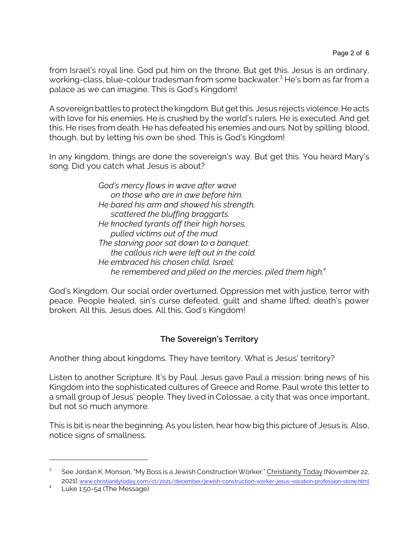from Israel's royal line. God put him on the throne. But get this. Jesus is an ordinary, working-class, blue-colour tradesman from some backwater. <sup>3</sup> He's born as far from a palace as we can imagine. This is God's Kingdom!

A sovereign battles to protect the kingdom. But get this. Jesus rejects violence. He acts with love for his enemies. He is crushed by the world's rulers. He is executed. And get this. He rises from death. He has defeated his enemies and ours. Not by spilling blood, though, but by letting his own be shed. This is God's Kingdom!

In any kingdom, things are done the sovereign's way. But get this. You heard Mary's song. Did you catch what Jesus is about?

> *God's mercy flows in wave after wave on those who are in awe before him. He bared his arm and showed his strength, scattered the bluffing braggarts. He knocked tyrants off their high horses, pulled victims out of the mud. The starving poor sat down to a banquet; the callous rich were left out in the cold. He embraced his chosen child, Israel; he remembered and piled on the mercies, piled them high.<sup>4</sup>*

God's Kingdom. Our social order overturned. Oppression met with justice, terror with peace. People healed, sin's curse defeated, guilt and shame lifted, death's power broken. All this, Jesus does. All this, God's Kingdom!

## **The Sovereign's Territory**

Another thing about kingdoms. They have territory. What is Jesus' territory?

Listen to another Scripture. It's by Paul. Jesus gave Paul a mission: bring news of his Kingdom into the sophisticated cultures of Greece and Rome. Paul wrote this letter to a small group of Jesus' people. They lived in Colossae, a city that was once important, but not so much anymore.

This is bit is near the beginning. As you listen, hear how big this picture of Jesus is. Also, notice signs of smallness.

 $^3$  See Jordan K. Monson, "My Boss is a Jewish Construction Worker." Christianity Today (November 22, 2021). [www.christianitytoday.com/ct/2021/december/jewish-construction-worker-jesus-vocation-profession-stone.html](https://www.christianitytoday.com/ct/2021/december/jewish-construction-worker-jesus-vocation-profession-stone.html)

<sup>4</sup> Luke 1:50-54 (The Message)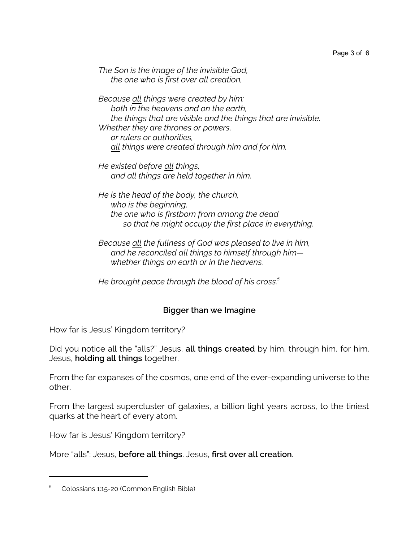*The Son is the image of the invisible God, the one who is first over all creation,*

*Because all things were created by him: both in the heavens and on the earth, the things that are visible and the things that are invisible. Whether they are thrones or powers, or rulers or authorities, all things were created through him and for him.*

*He existed before all things, and all things are held together in him.*

*He is the head of the body, the church, who is the beginning, the one who is firstborn from among the dead so that he might occupy the first place in everything.*

*Because all the fullness of God was pleased to live in him, and he reconciled all things to himself through him whether things on earth or in the heavens.*

*He brought peace through the blood of his cross.<sup>5</sup>*

## **Bigger than we Imagine**

How far is Jesus' Kingdom territory?

Did you notice all the "alls?" Jesus, **all things created** by him, through him, for him. Jesus, **holding all things** together.

From the far expanses of the cosmos, one end of the ever-expanding universe to the other.

From the largest supercluster of galaxies, a billion light years across, to the tiniest quarks at the heart of every atom.

How far is Jesus' Kingdom territory?

More "alls": Jesus, **before all things**. Jesus, **first over all creation**.

<sup>5</sup> Colossians 1:15-20 (Common English Bible)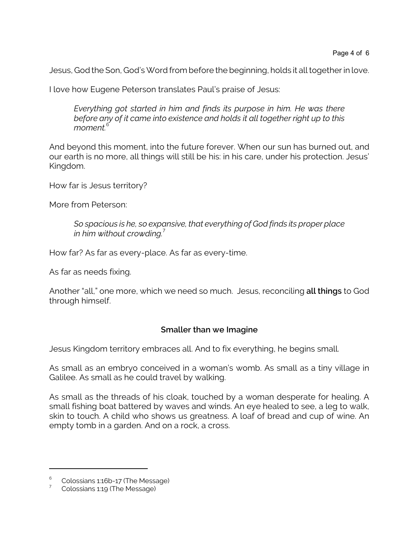Jesus, God the Son, God's Word from before the beginning, holds it all together in love.

I love how Eugene Peterson translates Paul's praise of Jesus:

*Everything got started in him and finds its purpose in him. He was there before any of it came into existence and holds it all together right up to this moment.*<sup>6</sup>

And beyond this moment, into the future forever. When our sun has burned out, and our earth is no more, all things will still be his: in his care, under his protection. Jesus' Kingdom.

How far is Jesus territory?

More from Peterson:

*So spacious is he, so expansive, that everything of God finds its proper place in him without crowding.*<sup>7</sup>

How far? As far as every-place. As far as every-time.

As far as needs fixing.

Another "all," one more, which we need so much. Jesus, reconciling **all things** to God through himself.

#### **Smaller than we Imagine**

Jesus Kingdom territory embraces all. And to fix everything, he begins small.

As small as an embryo conceived in a woman's womb. As small as a tiny village in Galilee. As small as he could travel by walking.

As small as the threads of his cloak, touched by a woman desperate for healing. A small fishing boat battered by waves and winds. An eye healed to see, a leg to walk, skin to touch. A child who shows us greatness. A loaf of bread and cup of wine. An empty tomb in a garden. And on a rock, a cross.

<sup>6</sup> Colossians 1:16b-17 (The Message)

<sup>7</sup> Colossians 1:19 (The Message)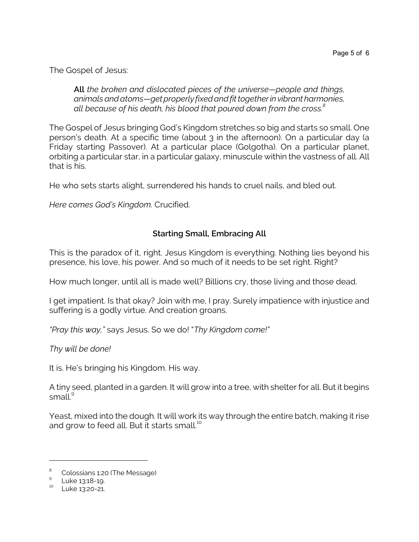The Gospel of Jesus:

*All the broken and dislocated pieces of the universe—people and things, animals and atoms—get properly fixed and fit together in vibrant harmonies, all because of his death, his blood that poured down from the cross.<sup>8</sup>*

The Gospel of Jesus bringing God's Kingdom stretches so big and starts so small. One person's death. At a specific time (about 3 in the afternoon). On a particular day (a Friday starting Passover). At a particular place (Golgotha). On a particular planet, orbiting a particular star, in a particular galaxy, minuscule within the vastness of all. All that is his.

He who sets starts alight, surrendered his hands to cruel nails, and bled out.

*Here comes God's Kingdom.* Crucified.

## **Starting Small, Embracing All**

This is the paradox of it, right. Jesus Kingdom is everything. Nothing lies beyond his presence, his love, his power. And so much of it needs to be set right. Right?

How much longer, until all is made well? Billions cry, those living and those dead.

I get impatient. Is that okay? Join with me, I pray. Surely impatience with injustice and suffering is a godly virtue. And creation groans.

*"Pray this way,"* says Jesus. So we do! "*Thy Kingdom come!"*

*Thy will be done!*

It is. He's bringing his Kingdom. His way.

A tiny seed, planted in a garden. It will grow into a tree, with shelter for all. But it begins small.<sup>9</sup>

Yeast, mixed into the dough. It will work its way through the entire batch, making it rise and grow to feed all. But it starts small.<sup>10</sup>

<sup>8</sup> Colossians 1:20 (The Message)

<sup>&</sup>lt;sup>9</sup> Luke 13:18-19.

 $10$  Luke 13:20-21.